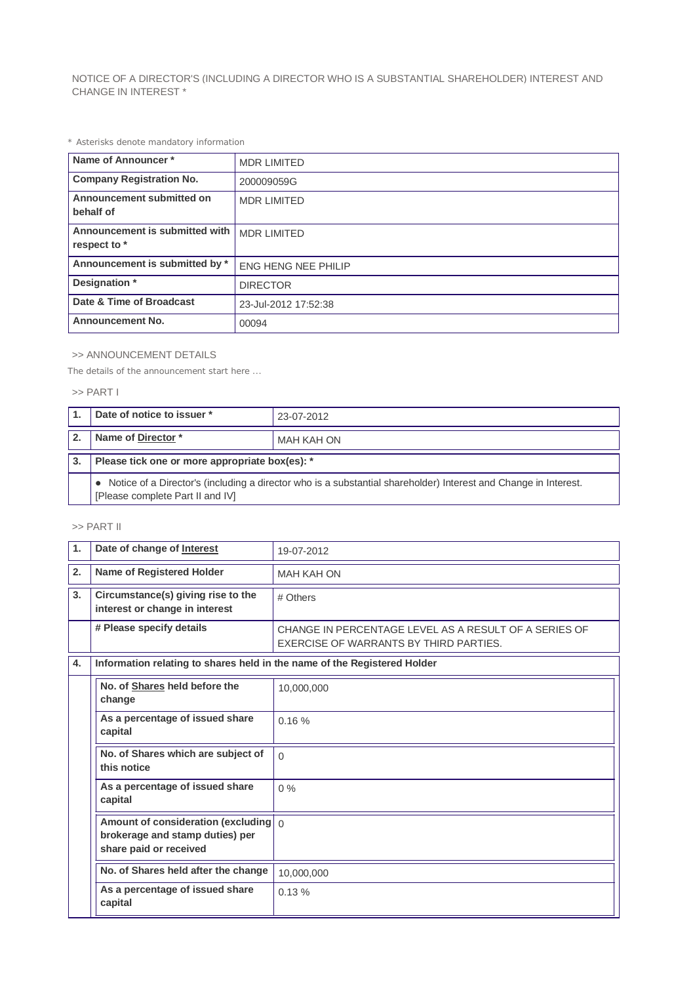NOTICE OF A DIRECTOR'S (INCLUDING A DIRECTOR WHO IS A SUBSTANTIAL SHAREHOLDER) INTEREST AND CHANGE IN INTEREST \*

*\* Asterisks denote mandatory information*

| Name of Announcer*                             | <b>MDR LIMITED</b>         |
|------------------------------------------------|----------------------------|
| <b>Company Registration No.</b>                | 200009059G                 |
| Announcement submitted on<br>behalf of         | <b>MDR LIMITED</b>         |
| Announcement is submitted with<br>respect to * | <b>MDR LIMITED</b>         |
| Announcement is submitted by *                 | <b>ENG HENG NEE PHILIP</b> |
| Designation *                                  | <b>DIRECTOR</b>            |
| Date & Time of Broadcast                       | 23-Jul-2012 17:52:38       |
| <b>Announcement No.</b>                        | 00094                      |

## >> ANNOUNCEMENT DETAILS

*The details of the announcement start here ...*

## >> PART I

| Date of notice to issuer *                                                                                                                            | 23-07-2012 |  |
|-------------------------------------------------------------------------------------------------------------------------------------------------------|------------|--|
| Name of Director*                                                                                                                                     | MAH KAH ON |  |
| Please tick one or more appropriate box(es): *                                                                                                        |            |  |
| • Notice of a Director's (including a director who is a substantial shareholder) Interest and Change in Interest.<br>[Please complete Part II and IV] |            |  |

## >> PART II

| $\mathbf{1}$                               | Date of change of Interest                                                                                 | 19-07-2012                                                                                      |  |
|--------------------------------------------|------------------------------------------------------------------------------------------------------------|-------------------------------------------------------------------------------------------------|--|
| 2.                                         | Name of Registered Holder                                                                                  | <b>MAH KAH ON</b>                                                                               |  |
| 3.                                         | Circumstance(s) giving rise to the<br>interest or change in interest                                       | # Others                                                                                        |  |
|                                            | # Please specify details                                                                                   | CHANGE IN PERCENTAGE LEVEL AS A RESULT OF A SERIES OF<br>EXERCISE OF WARRANTS BY THIRD PARTIES. |  |
| 4.                                         | Information relating to shares held in the name of the Registered Holder                                   |                                                                                                 |  |
|                                            | No. of Shares held before the<br>change                                                                    | 10,000,000                                                                                      |  |
|                                            | As a percentage of issued share<br>capital                                                                 | 0.16%                                                                                           |  |
|                                            | No. of Shares which are subject of<br>this notice                                                          | $\Omega$                                                                                        |  |
|                                            | As a percentage of issued share<br>capital                                                                 | $0\%$                                                                                           |  |
|                                            | Amount of consideration (excluding $\int_0^1$<br>brokerage and stamp duties) per<br>share paid or received |                                                                                                 |  |
|                                            | No. of Shares held after the change                                                                        | 10.000.000                                                                                      |  |
| As a percentage of issued share<br>capital |                                                                                                            | 0.13%                                                                                           |  |